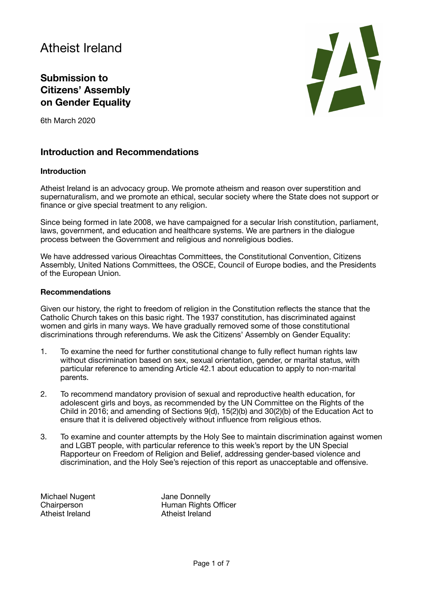# Atheist Ireland

# **Submission to Citizens' Assembly on Gender Equality**

6th March 2020



### **Introduction and Recommendations**

#### **Introduction**

Atheist Ireland is an advocacy group. We promote atheism and reason over superstition and supernaturalism, and we promote an ethical, secular society where the State does not support or finance or give special treatment to any religion.

Since being formed in late 2008, we have campaigned for a secular Irish constitution, parliament, laws, government, and education and healthcare systems. We are partners in the dialogue process between the Government and religious and nonreligious bodies.

We have addressed various Oireachtas Committees, the Constitutional Convention, Citizens Assembly, United Nations Committees, the OSCE, Council of Europe bodies, and the Presidents of the European Union.

#### **Recommendations**

Given our history, the right to freedom of religion in the Constitution reflects the stance that the Catholic Church takes on this basic right. The 1937 constitution, has discriminated against women and girls in many ways. We have gradually removed some of those constitutional discriminations through referendums. We ask the Citizens' Assembly on Gender Equality:

- 1. To examine the need for further constitutional change to fully reflect human rights law without discrimination based on sex, sexual orientation, gender, or marital status, with particular reference to amending Article 42.1 about education to apply to non-marital parents.
- 2. To recommend mandatory provision of sexual and reproductive health education, for adolescent girls and boys, as recommended by the UN Committee on the Rights of the Child in 2016; and amending of Sections 9(d), 15(2)(b) and 30(2)(b) of the Education Act to ensure that it is delivered objectively without influence from religious ethos.
- 3. To examine and counter attempts by the Holy See to maintain discrimination against women and LGBT people, with particular reference to this week's report by the UN Special Rapporteur on Freedom of Religion and Belief, addressing gender-based violence and discrimination, and the Holy See's rejection of this report as unacceptable and offensive.

Michael Nugent **Jane Donnelly** Atheist Ireland **Atheist** Ireland

Chairperson Human Rights Officer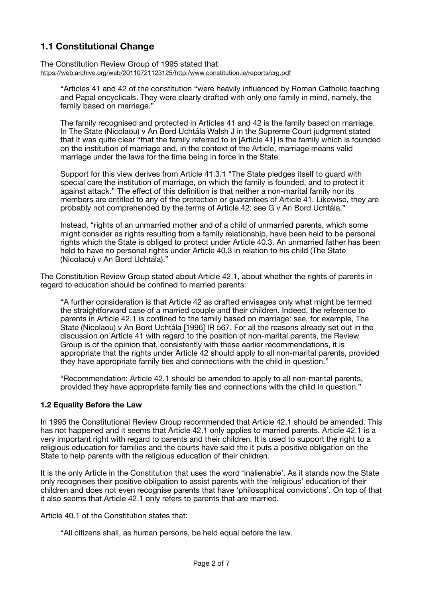# **1.1 Constitutional Change**

The Constitution Review Group of 1995 stated that: <https://web.archive.org/web/20110721123125/http:/www.constitution.ie/reports/crg.pdf>

"Articles 41 and 42 of the constitution "were heavily influenced by Roman Catholic teaching and Papal encyclicals. They were clearly drafted with only one family in mind, namely, the family based on marriage."

The family recognised and protected in Articles 41 and 42 is the family based on marriage. In The State (Nicolaou) v An Bord Uchtála Walsh J in the Supreme Court judgment stated that it was quite clear "that the family referred to in [Article 41] is the family which is founded on the institution of marriage and, in the context of the Article, marriage means valid marriage under the laws for the time being in force in the State.

Support for this view derives from Article 41.3.1 "The State pledges itself to guard with special care the institution of marriage, on which the family is founded, and to protect it against attack." The effect of this definition is that neither a non-marital family nor its members are entitled to any of the protection or guarantees of Article 41. Likewise, they are probably not comprehended by the terms of Article 42: see G v An Bord Uchtála."

Instead, "rights of an unmarried mother and of a child of unmarried parents, which some might consider as rights resulting from a family relationship, have been held to be personal rights which the State is obliged to protect under Article 40.3. An unmarried father has been held to have no personal rights under Article 40.3 in relation to his child (The State (Nicolaou) v An Bord Uchtála)."

The Constitution Review Group stated about Article 42.1, about whether the rights of parents in regard to education should be confined to married parents:

"A further consideration is that Article 42 as drafted envisages only what might be termed the straightforward case of a married couple and their children. Indeed, the reference to parents in Article 42.1 is confined to the family based on marriage: see, for example, The State (Nicolaou) v An Bord Uchtála [1996] IR 567. For all the reasons already set out in the discussion on Article 41 with regard to the position of non-marital parents, the Review Group is of the opinion that, consistently with these earlier recommendations, it is appropriate that the rights under Article 42 should apply to all non-marital parents, provided they have appropriate family ties and connections with the child in question."

"Recommendation: Article 42.1 should be amended to apply to all non-marital parents, provided they have appropriate family ties and connections with the child in question."

#### **1.2 Equality Before the Law**

In 1995 the Constitutional Review Group recommended that Article 42.1 should be amended. This has not happened and it seems that Article 42.1 only applies to married parents. Article 42.1 is a very important right with regard to parents and their children. It is used to support the right to a religious education for families and the courts have said the it puts a positive obligation on the State to help parents with the religious education of their children.

It is the only Article in the Constitution that uses the word 'inalienable'. As it stands now the State only recognises their positive obligation to assist parents with the 'religious' education of their children and does not even recognise parents that have 'philosophical convictions'. On top of that it also seems that Article 42.1 only refers to parents that are married.

Article 40.1 of the Constitution states that:

"All citizens shall, as human persons, be held equal before the law.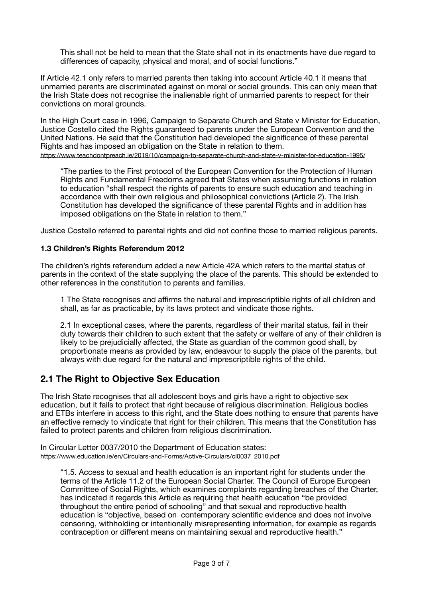This shall not be held to mean that the State shall not in its enactments have due regard to differences of capacity, physical and moral, and of social functions."

If Article 42.1 only refers to married parents then taking into account Article 40.1 it means that unmarried parents are discriminated against on moral or social grounds. This can only mean that the Irish State does not recognise the inalienable right of unmarried parents to respect for their convictions on moral grounds.

In the High Court case in 1996, Campaign to Separate Church and State v Minister for Education, Justice Costello cited the Rights guaranteed to parents under the European Convention and the United Nations. He said that the Constitution had developed the significance of these parental Rights and has imposed an obligation on the State in relation to them. <https://www.teachdontpreach.ie/2019/10/campaign-to-separate-church-and-state-v-minister-for-education-1995/>

"The parties to the First protocol of the European Convention for the Protection of Human Rights and Fundamental Freedoms agreed that States when assuming functions in relation to education "shall respect the rights of parents to ensure such education and teaching in accordance with their own religious and philosophical convictions (Article 2). The Irish Constitution has developed the significance of these parental Rights and in addition has imposed obligations on the State in relation to them."

Justice Costello referred to parental rights and did not confine those to married religious parents.

#### **1.3 Children's Rights Referendum 2012**

The children's rights referendum added a new Article 42A which refers to the marital status of parents in the context of the state supplying the place of the parents. This should be extended to other references in the constitution to parents and families.

1 The State recognises and affirms the natural and imprescriptible rights of all children and shall, as far as practicable, by its laws protect and vindicate those rights.

2.1 In exceptional cases, where the parents, regardless of their marital status, fail in their duty towards their children to such extent that the safety or welfare of any of their children is likely to be prejudicially affected, the State as guardian of the common good shall, by proportionate means as provided by law, endeavour to supply the place of the parents, but always with due regard for the natural and imprescriptible rights of the child.

### **2.1 The Right to Objective Sex Education**

The Irish State recognises that all adolescent boys and girls have a right to objective sex education, but it fails to protect that right because of religious discrimination. Religious bodies and ETBs interfere in access to this right, and the State does nothing to ensure that parents have an effective remedy to vindicate that right for their children. This means that the Constitution has failed to protect parents and children from religious discrimination.

In Circular Letter 0037/2010 the Department of Education states: [https://www.education.ie/en/Circulars-and-Forms/Active-Circulars/cl0037\\_2010.pdf](https://www.education.ie/en/Circulars-and-Forms/Active-Circulars/cl0037_2010.pdf)

"1.5. Access to sexual and health education is an important right for students under the terms of the Article 11.2 of the European Social Charter. The Council of Europe European Committee of Social Rights, which examines complaints regarding breaches of the Charter, has indicated it regards this Article as requiring that health education "be provided throughout the entire period of schooling" and that sexual and reproductive health education is "objective, based on contemporary scientific evidence and does not involve censoring, withholding or intentionally misrepresenting information, for example as regards contraception or different means on maintaining sexual and reproductive health."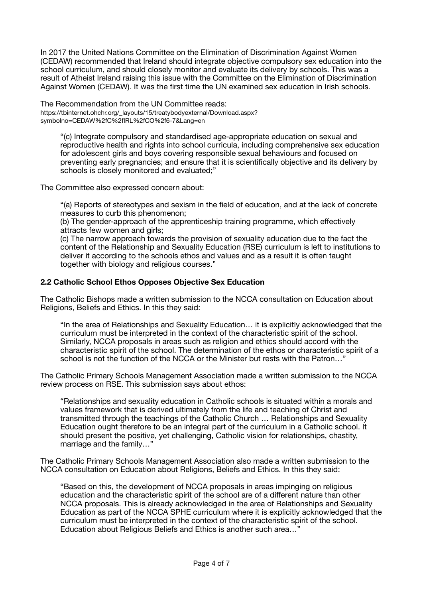In 2017 the United Nations Committee on the Elimination of Discrimination Against Women (CEDAW) recommended that Ireland should integrate objective compulsory sex education into the school curriculum, and should closely monitor and evaluate its delivery by schools. This was a result of Atheist Ireland raising this issue with the Committee on the Elimination of Discrimination Against Women (CEDAW). It was the first time the UN examined sex education in Irish schools.

The Recommendation from the UN Committee reads: [https://tbinternet.ohchr.org/\\_layouts/15/treatybodyexternal/Download.aspx?](https://tbinternet.ohchr.org/_layouts/15/treatybodyexternal/Download.aspx?symbolno=CEDAW%2fC%2fIRL%2fCO%2f6-7&Lang=en) [symbolno=CEDAW%2fC%2fIRL%2fCO%2f6-7&Lang=en](https://tbinternet.ohchr.org/_layouts/15/treatybodyexternal/Download.aspx?symbolno=CEDAW%2fC%2fIRL%2fCO%2f6-7&Lang=en)

"(c) Integrate compulsory and standardised age-appropriate education on sexual and reproductive health and rights into school curricula, including comprehensive sex education for adolescent girls and boys covering responsible sexual behaviours and focused on preventing early pregnancies; and ensure that it is scientifically objective and its delivery by schools is closely monitored and evaluated;"

The Committee also expressed concern about:

"(a) Reports of stereotypes and sexism in the field of education, and at the lack of concrete measures to curb this phenomenon;

(b) The gender-approach of the apprenticeship training programme, which effectively attracts few women and girls;

(c) The narrow approach towards the provision of sexuality education due to the fact the content of the Relationship and Sexuality Education (RSE) curriculum is left to institutions to deliver it according to the schools ethos and values and as a result it is often taught together with biology and religious courses."

#### **2.2 Catholic School Ethos Opposes Objective Sex Education**

The Catholic Bishops made a written submission to the NCCA consultation on Education about Religions, Beliefs and Ethics. In this they said:

"In the area of Relationships and Sexuality Education… it is explicitly acknowledged that the curriculum must be interpreted in the context of the characteristic spirit of the school. Similarly, NCCA proposals in areas such as religion and ethics should accord with the characteristic spirit of the school. The determination of the ethos or characteristic spirit of a school is not the function of the NCCA or the Minister but rests with the Patron...'

The Catholic Primary Schools Management Association made a written submission to the NCCA review process on RSE. This submission says about ethos:

"Relationships and sexuality education in Catholic schools is situated within a morals and values framework that is derived ultimately from the life and teaching of Christ and transmitted through the teachings of the Catholic Church … Relationships and Sexuality Education ought therefore to be an integral part of the curriculum in a Catholic school. It should present the positive, yet challenging, Catholic vision for relationships, chastity, marriage and the family…"

The Catholic Primary Schools Management Association also made a written submission to the NCCA consultation on Education about Religions, Beliefs and Ethics. In this they said:

"Based on this, the development of NCCA proposals in areas impinging on religious education and the characteristic spirit of the school are of a different nature than other NCCA proposals. This is already acknowledged in the area of Relationships and Sexuality Education as part of the NCCA SPHE curriculum where it is explicitly acknowledged that the curriculum must be interpreted in the context of the characteristic spirit of the school. Education about Religious Beliefs and Ethics is another such area…"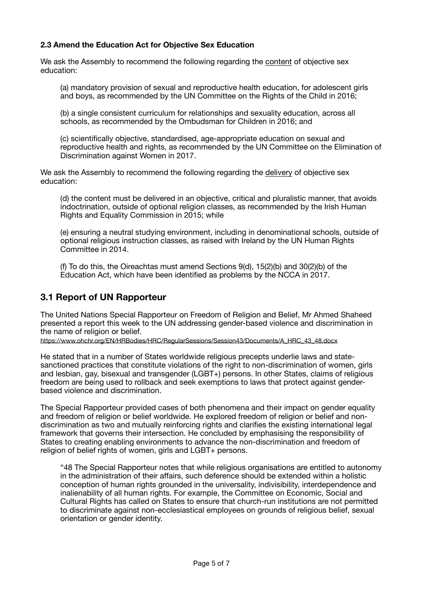#### **2.3 Amend the Education Act for Objective Sex Education**

We ask the Assembly to recommend the following regarding the content of objective sex education:

(a) mandatory provision of sexual and reproductive health education, for adolescent girls and boys, as recommended by the UN Committee on the Rights of the Child in 2016;

(b) a single consistent curriculum for relationships and sexuality education, across all schools, as recommended by the Ombudsman for Children in 2016; and

(c) scientifically objective, standardised, age-appropriate education on sexual and reproductive health and rights, as recommended by the UN Committee on the Elimination of Discrimination against Women in 2017.

We ask the Assembly to recommend the following regarding the delivery of objective sex education:

(d) the content must be delivered in an objective, critical and pluralistic manner, that avoids indoctrination, outside of optional religion classes, as recommended by the Irish Human Rights and Equality Commission in 2015; while

(e) ensuring a neutral studying environment, including in denominational schools, outside of optional religious instruction classes, as raised with Ireland by the UN Human Rights Committee in 2014.

(f) To do this, the Oireachtas must amend Sections 9(d), 15(2)(b) and 30(2)(b) of the Education Act, which have been identified as problems by the NCCA in 2017.

### **3.1 Report of UN Rapporteur**

The United Nations Special Rapporteur on Freedom of Religion and Belief, Mr Ahmed Shaheed presented a report this week to the UN addressing gender-based violence and discrimination in the name of religion or belief.

[https://www.ohchr.org/EN/HRBodies/HRC/RegularSessions/Session43/Documents/A\\_HRC\\_43\\_48.docx](https://www.ohchr.org/EN/HRBodies/HRC/RegularSessions/Session43/Documents/A_HRC_43_48.docx)

He stated that in a number of States worldwide religious precepts underlie laws and statesanctioned practices that constitute violations of the right to non-discrimination of women, girls and lesbian, gay, bisexual and transgender (LGBT+) persons. In other States, claims of religious freedom are being used to rollback and seek exemptions to laws that protect against genderbased violence and discrimination.

The Special Rapporteur provided cases of both phenomena and their impact on gender equality and freedom of religion or belief worldwide. He explored freedom of religion or belief and nondiscrimination as two and mutually reinforcing rights and clarifies the existing international legal framework that governs their intersection. He concluded by emphasising the responsibility of States to creating enabling environments to advance the non-discrimination and freedom of religion of belief rights of women, girls and LGBT+ persons.

"48 The Special Rapporteur notes that while religious organisations are entitled to autonomy in the administration of their affairs, such deference should be extended within a holistic conception of human rights grounded in the universality, indivisibility, interdependence and inalienability of all human rights. For example, the Committee on Economic, Social and Cultural Rights has called on States to ensure that church-run institutions are not permitted to discriminate against non-ecclesiastical employees on grounds of religious belief, sexual orientation or gender identity.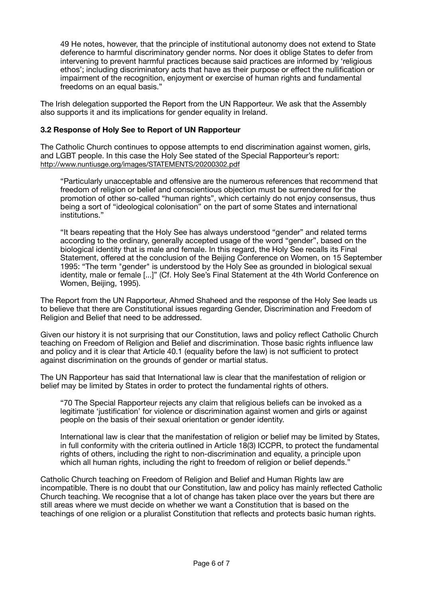49 He notes, however, that the principle of institutional autonomy does not extend to State deference to harmful discriminatory gender norms. Nor does it oblige States to defer from intervening to prevent harmful practices because said practices are informed by 'religious ethos'; including discriminatory acts that have as their purpose or effect the nullification or impairment of the recognition, enjoyment or exercise of human rights and fundamental freedoms on an equal basis."

The Irish delegation supported the Report from the UN Rapporteur. We ask that the Assembly also supports it and its implications for gender equality in Ireland.

#### **3.2 Response of Holy See to Report of UN Rapporteur**

The Catholic Church continues to oppose attempts to end discrimination against women, girls, and LGBT people. In this case the Holy See stated of the Special Rapporteur's report: <http://www.nuntiusge.org/images/STATEMENTS/20200302.pdf>

"Particularly unacceptable and offensive are the numerous references that recommend that freedom of religion or belief and conscientious objection must be surrendered for the promotion of other so-called "human rights", which certainly do not enjoy consensus, thus being a sort of "ideological colonisation" on the part of some States and international institutions."

"It bears repeating that the Holy See has always understood "gender" and related terms according to the ordinary, generally accepted usage of the word "gender", based on the biological identity that is male and female. In this regard, the Holy See recalls its Final Statement, offered at the conclusion of the Beijing Conference on Women, on 15 September 1995: "The term "gender" is understood by the Holy See as grounded in biological sexual identity, male or female [...]" (Cf. Holy See's Final Statement at the 4th World Conference on Women, Beijing, 1995).

The Report from the UN Rapporteur, Ahmed Shaheed and the response of the Holy See leads us to believe that there are Constitutional issues regarding Gender, Discrimination and Freedom of Religion and Belief that need to be addressed.

Given our history it is not surprising that our Constitution, laws and policy reflect Catholic Church teaching on Freedom of Religion and Belief and discrimination. Those basic rights influence law and policy and it is clear that Article 40.1 (equality before the law) is not sufficient to protect against discrimination on the grounds of gender or martial status.

The UN Rapporteur has said that International law is clear that the manifestation of religion or belief may be limited by States in order to protect the fundamental rights of others.

"70 The Special Rapporteur rejects any claim that religious beliefs can be invoked as a legitimate 'justification' for violence or discrimination against women and girls or against people on the basis of their sexual orientation or gender identity.

International law is clear that the manifestation of religion or belief may be limited by States, in full conformity with the criteria outlined in Article 18(3) ICCPR, to protect the fundamental rights of others, including the right to non-discrimination and equality, a principle upon which all human rights, including the right to freedom of religion or belief depends."

Catholic Church teaching on Freedom of Religion and Belief and Human Rights law are incompatible. There is no doubt that our Constitution, law and policy has mainly reflected Catholic Church teaching. We recognise that a lot of change has taken place over the years but there are still areas where we must decide on whether we want a Constitution that is based on the teachings of one religion or a pluralist Constitution that reflects and protects basic human rights.